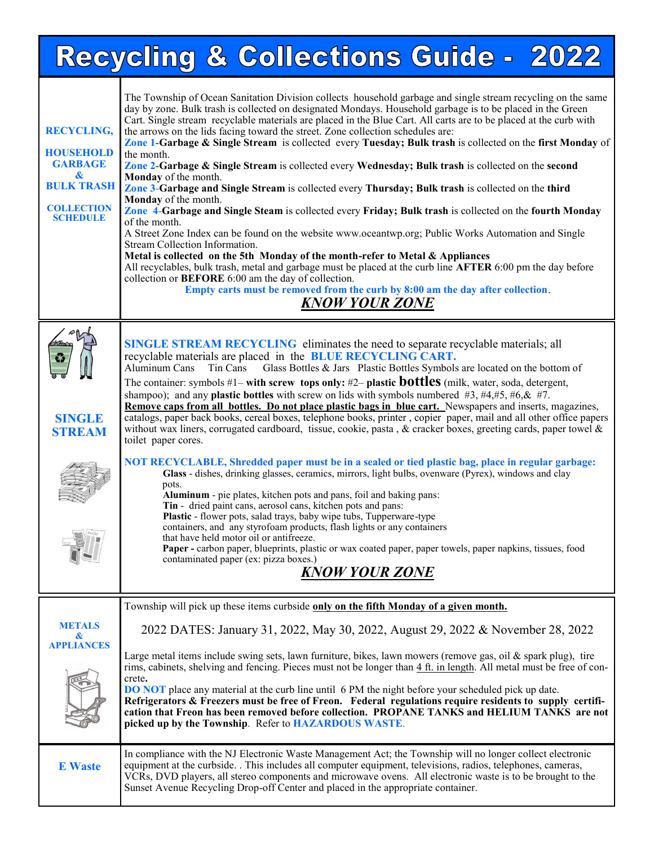|                                                                                                                                               | Recycling & Collections Guide - 2022                                                                                                                                                                                                                                                                                                                                                                                                                                                                                                                                                                                                                                                                                                                                                                                                                                                                                                                                                                                                                                                                                                                                                                                                                                                                                                                                                                                                                                                                                                                                                                              |
|-----------------------------------------------------------------------------------------------------------------------------------------------|-------------------------------------------------------------------------------------------------------------------------------------------------------------------------------------------------------------------------------------------------------------------------------------------------------------------------------------------------------------------------------------------------------------------------------------------------------------------------------------------------------------------------------------------------------------------------------------------------------------------------------------------------------------------------------------------------------------------------------------------------------------------------------------------------------------------------------------------------------------------------------------------------------------------------------------------------------------------------------------------------------------------------------------------------------------------------------------------------------------------------------------------------------------------------------------------------------------------------------------------------------------------------------------------------------------------------------------------------------------------------------------------------------------------------------------------------------------------------------------------------------------------------------------------------------------------------------------------------------------------|
| <b>RECYCLING,</b><br><b>HOUSEHOLD</b><br><b>GARBAGE</b><br>$\boldsymbol{\alpha}$<br><b>BULK TRASH</b><br><b>COLLECTION</b><br><b>SCHEDULE</b> | The Township of Ocean Sanitation Division collects household garbage and single stream recycling on the same<br>day by zone. Bulk trash is collected on designated Mondays. Household garbage is to be placed in the Green<br>Cart. Single stream recyclable materials are placed in the Blue Cart. All carts are to be placed at the curb with<br>the arrows on the lids facing toward the street. Zone collection schedules are:<br>Zone 1-Garbage & Single Stream is collected every Tuesday; Bulk trash is collected on the first Monday of<br>the month.<br>Zone 2-Garbage & Single Stream is collected every Wednesday; Bulk trash is collected on the second<br>Monday of the month.<br>Zone 3-Garbage and Single Stream is collected every Thursday; Bulk trash is collected on the third<br>Monday of the month.<br>Zone 4-Garbage and Single Steam is collected every Friday; Bulk trash is collected on the fourth Monday<br>of the month.<br>A Street Zone Index can be found on the website www.oceantwp.org; Public Works Automation and Single<br>Stream Collection Information.<br>Metal is collected on the 5th Monday of the month-refer to Metal & Appliances<br>All recyclables, bulk trash, metal and garbage must be placed at the curb line AFTER 6:00 pm the day before<br>collection or <b>BEFORE</b> 6:00 am the day of collection.<br>Empty carts must be removed from the curb by 8:00 am the day after collection.<br><b>KNOW YOUR ZONE</b>                                                                                                                                          |
| <b>SINGLE</b><br><b>STREAM</b>                                                                                                                | <b>SINGLE STREAM RECYCLING</b> eliminates the need to separate recyclable materials; all<br>recyclable materials are placed in the BLUE RECYCLING CART.<br>Glass Bottles & Jars Plastic Bottles Symbols are located on the bottom of<br>Aluminum Cans<br>Tin Cans<br>The container: symbols #1– with screw tops only: #2– plastic <b>bottles</b> (milk, water, soda, detergent,<br>shampoo); and any <b>plastic bottles</b> with screw on lids with symbols numbered $#3, #4, #5, #6, \& #7.$<br>Remove caps from all bottles. Do not place plastic bags in blue cart. Newspapers and inserts, magazines,<br>catalogs, paper back books, cereal boxes, telephone books, printer, copier paper, mail and all other office papers<br>without wax liners, corrugated cardboard, tissue, cookie, pasta, & cracker boxes, greeting cards, paper towel &<br>toilet paper cores.<br>NOT RECYCLABLE, Shredded paper must be in a sealed or tied plastic bag, place in regular garbage:<br>Glass - dishes, drinking glasses, ceramics, mirrors, light bulbs, ovenware (Pyrex), windows and clay<br>pots.<br>Aluminum - pie plates, kitchen pots and pans, foil and baking pans:<br>Tin - dried paint cans, aerosol cans, kitchen pots and pans:<br>Plastic - flower pots, salad trays, baby wipe tubs, Tupperware-type<br>containers, and any styrofoam products, flash lights or any containers<br>that have held motor oil or antifreeze.<br>Paper - carbon paper, blueprints, plastic or wax coated paper, paper towels, paper napkins, tissues, food<br>contaminated paper (ex: pizza boxes.)<br><u>KNOW YOUR ZONE</u> |
| <b>METALS</b><br>&<br><b>APPLIANCES</b>                                                                                                       | Township will pick up these items curbside only on the fifth Monday of a given month.<br>2022 DATES: January 31, 2022, May 30, 2022, August 29, 2022 & November 28, 2022<br>Large metal items include swing sets, lawn furniture, bikes, lawn mowers (remove gas, oil & spark plug), tire<br>rims, cabinets, shelving and fencing. Pieces must not be longer than $4 \text{ ft}$ in length. All metal must be free of con-<br>crete.<br><b>DO NOT</b> place any material at the curb line until 6 PM the night before your scheduled pick up date.<br>Refrigerators & Freezers must be free of Freon. Federal regulations require residents to supply certifi-<br>cation that Freon has been removed before collection. PROPANE TANKS and HELIUM TANKS are not<br>picked up by the Township. Refer to HAZARDOUS WASTE.                                                                                                                                                                                                                                                                                                                                                                                                                                                                                                                                                                                                                                                                                                                                                                                            |
| <b>E</b> Waste                                                                                                                                | In compliance with the NJ Electronic Waste Management Act; the Township will no longer collect electronic<br>equipment at the curbside. . This includes all computer equipment, televisions, radios, telephones, cameras,<br>VCRs, DVD players, all stereo components and microwave ovens. All electronic waste is to be brought to the<br>Sunset Avenue Recycling Drop-off Center and placed in the appropriate container.                                                                                                                                                                                                                                                                                                                                                                                                                                                                                                                                                                                                                                                                                                                                                                                                                                                                                                                                                                                                                                                                                                                                                                                       |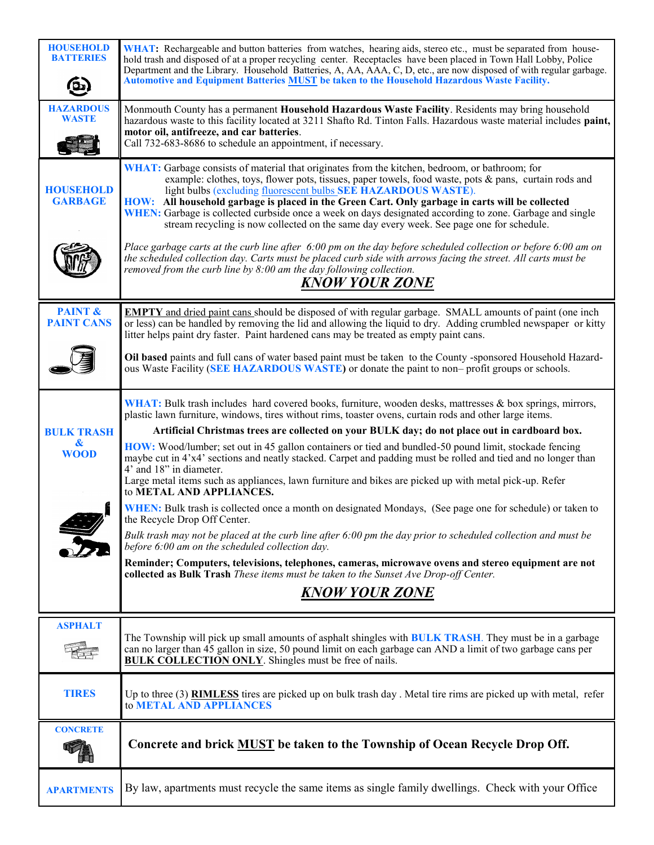| <b>HOUSEHOLD</b><br><b>BATTERIES</b><br><b>b</b> | WHAT: Rechargeable and button batteries from watches, hearing aids, stereo etc., must be separated from house-<br>hold trash and disposed of at a proper recycling center. Receptacles have been placed in Town Hall Lobby, Police<br>Department and the Library. Household Batteries, A, AA, AAA, C, D, etc., are now disposed of with regular garbage.<br><b>Automotive and Equipment Batteries MUST be taken to the Household Hazardous Waste Facility.</b>                                                                                                                       |
|--------------------------------------------------|--------------------------------------------------------------------------------------------------------------------------------------------------------------------------------------------------------------------------------------------------------------------------------------------------------------------------------------------------------------------------------------------------------------------------------------------------------------------------------------------------------------------------------------------------------------------------------------|
| <b>HAZARDOUS</b><br><b>WASTE</b>                 | Monmouth County has a permanent Household Hazardous Waste Facility. Residents may bring household<br>hazardous waste to this facility located at 3211 Shafto Rd. Tinton Falls. Hazardous waste material includes paint,<br>motor oil, antifreeze, and car batteries.<br>Call 732-683-8686 to schedule an appointment, if necessary.                                                                                                                                                                                                                                                  |
| <b>HOUSEHOLD</b><br><b>GARBAGE</b>               | WHAT: Garbage consists of material that originates from the kitchen, bedroom, or bathroom; for<br>example: clothes, toys, flower pots, tissues, paper towels, food waste, pots & pans, curtain rods and<br>light bulbs (excluding fluorescent bulbs SEE HAZARDOUS WASTE).<br>HOW: All household garbage is placed in the Green Cart. Only garbage in carts will be collected<br>WHEN: Garbage is collected curbside once a week on days designated according to zone. Garbage and single<br>stream recycling is now collected on the same day every week. See page one for schedule. |
|                                                  | Place garbage carts at the curb line after $6:00$ pm on the day before scheduled collection or before $6:00$ am on<br>the scheduled collection day. Carts must be placed curb side with arrows facing the street. All carts must be<br>removed from the curb line by $8:00$ am the day following collection.<br><b>KNOW YOUR ZONE</b>                                                                                                                                                                                                                                                |
| <b>PAINT &amp;</b><br><b>PAINT CANS</b>          | <b>EMPTY</b> and dried paint cans should be disposed of with regular garbage. SMALL amounts of paint (one inch<br>or less) can be handled by removing the lid and allowing the liquid to dry. Adding crumbled newspaper or kitty<br>litter helps paint dry faster. Paint hardened cans may be treated as empty paint cans.                                                                                                                                                                                                                                                           |
|                                                  | Oil based paints and full cans of water based paint must be taken to the County -sponsored Household Hazard-<br>ous Waste Facility (SEE HAZARDOUS WASTE) or donate the paint to non-profit groups or schools.                                                                                                                                                                                                                                                                                                                                                                        |
|                                                  | WHAT: Bulk trash includes hard covered books, furniture, wooden desks, mattresses $\&$ box springs, mirrors,<br>plastic lawn furniture, windows, tires without rims, toaster ovens, curtain rods and other large items.                                                                                                                                                                                                                                                                                                                                                              |
| <b>BULK TRASH</b><br>&                           | Artificial Christmas trees are collected on your BULK day; do not place out in cardboard box.                                                                                                                                                                                                                                                                                                                                                                                                                                                                                        |
| <b>WOOD</b>                                      | HOW: Wood/lumber; set out in 45 gallon containers or tied and bundled-50 pound limit, stockade fencing<br>maybe cut in 4'x4' sections and neatly stacked. Carpet and padding must be rolled and tied and no longer than<br>4' and 18" in diameter.<br>Large metal items such as appliances, lawn furniture and bikes are picked up with metal pick-up. Refer<br>to METAL AND APPLIANCES.                                                                                                                                                                                             |
|                                                  | WHEN: Bulk trash is collected once a month on designated Mondays, (See page one for schedule) or taken to<br>the Recycle Drop Off Center.                                                                                                                                                                                                                                                                                                                                                                                                                                            |
|                                                  | Bulk trash may not be placed at the curb line after 6:00 pm the day prior to scheduled collection and must be<br>before 6:00 am on the scheduled collection day.                                                                                                                                                                                                                                                                                                                                                                                                                     |
|                                                  | Reminder; Computers, televisions, telephones, cameras, microwave ovens and stereo equipment are not<br>collected as Bulk Trash These items must be taken to the Sunset Ave Drop-off Center.                                                                                                                                                                                                                                                                                                                                                                                          |
|                                                  | <b>KNOW YOUR ZONE</b>                                                                                                                                                                                                                                                                                                                                                                                                                                                                                                                                                                |
| <b>ASPHALT</b>                                   |                                                                                                                                                                                                                                                                                                                                                                                                                                                                                                                                                                                      |
|                                                  | The Township will pick up small amounts of asphalt shingles with <b>BULK TRASH</b> . They must be in a garbage<br>can no larger than 45 gallon in size, 50 pound limit on each garbage can AND a limit of two garbage cans per<br><b>BULK COLLECTION ONLY</b> . Shingles must be free of nails.                                                                                                                                                                                                                                                                                      |
| <b>TIRES</b>                                     | Up to three (3) <b>RIMLESS</b> tires are picked up on bulk trash day . Metal tire rims are picked up with metal, refer<br>to METAL AND APPLIANCES                                                                                                                                                                                                                                                                                                                                                                                                                                    |
| <b>CONCRETE</b>                                  | Concrete and brick <b>MUST</b> be taken to the Township of Ocean Recycle Drop Off.                                                                                                                                                                                                                                                                                                                                                                                                                                                                                                   |
| <b>APARTMENTS</b>                                | By law, apartments must recycle the same items as single family dwellings. Check with your Office                                                                                                                                                                                                                                                                                                                                                                                                                                                                                    |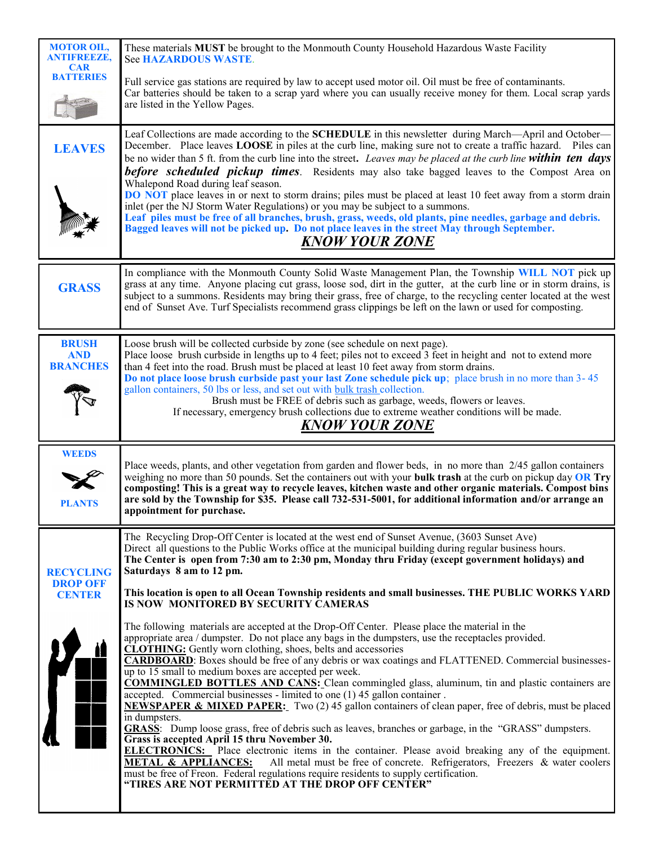| <b>MOTOR OIL,</b><br><b>ANTIFREEZE,</b><br><b>CAR</b>      | These materials MUST be brought to the Monmouth County Household Hazardous Waste Facility<br>See HAZARDOUS WASTE.                                                                                                                                                                                                                                                                                                                                                                                                                                                                                                                                                                                                                                                                                                                                                                                                                    |  |  |
|------------------------------------------------------------|--------------------------------------------------------------------------------------------------------------------------------------------------------------------------------------------------------------------------------------------------------------------------------------------------------------------------------------------------------------------------------------------------------------------------------------------------------------------------------------------------------------------------------------------------------------------------------------------------------------------------------------------------------------------------------------------------------------------------------------------------------------------------------------------------------------------------------------------------------------------------------------------------------------------------------------|--|--|
| <b>BATTERIES</b>                                           | Full service gas stations are required by law to accept used motor oil. Oil must be free of contaminants.<br>Car batteries should be taken to a scrap yard where you can usually receive money for them. Local scrap yards<br>are listed in the Yellow Pages.                                                                                                                                                                                                                                                                                                                                                                                                                                                                                                                                                                                                                                                                        |  |  |
| <b>LEAVES</b>                                              | Leaf Collections are made according to the SCHEDULE in this newsletter during March—April and October—<br>December. Place leaves LOOSE in piles at the curb line, making sure not to create a traffic hazard. Piles can<br>be no wider than 5 ft. from the curb line into the street. Leaves may be placed at the curb line <b>within ten days</b><br><b>before scheduled pickup times</b> . Residents may also take bagged leaves to the Compost Area on<br>Whalepond Road during leaf season.<br>DO NOT place leaves in or next to storm drains; piles must be placed at least 10 feet away from a storm drain<br>inlet (per the NJ Storm Water Regulations) or you may be subject to a summons.<br>Leaf piles must be free of all branches, brush, grass, weeds, old plants, pine needles, garbage and debris.<br>Bagged leaves will not be picked up. Do not place leaves in the street May through September.<br>KNOW YOUR ZONE |  |  |
| <b>GRASS</b>                                               | In compliance with the Monmouth County Solid Waste Management Plan, the Township WILL NOT pick up<br>grass at any time. Anyone placing cut grass, loose sod, dirt in the gutter, at the curb line or in storm drains, is<br>subject to a summons. Residents may bring their grass, free of charge, to the recycling center located at the west<br>end of Sunset Ave. Turf Specialists recommend grass clippings be left on the lawn or used for composting.                                                                                                                                                                                                                                                                                                                                                                                                                                                                          |  |  |
| <b>BRUSH</b><br><b>AND</b><br><b>BRANCHES</b>              | Loose brush will be collected curbside by zone (see schedule on next page).<br>Place loose brush curbside in lengths up to 4 feet; piles not to exceed 3 feet in height and not to extend more<br>than 4 feet into the road. Brush must be placed at least 10 feet away from storm drains.<br>Do not place loose brush curbside past your last Zone schedule pick up; place brush in no more than 3-45<br>gallon containers, 50 lbs or less, and set out with bulk trash collection.<br>Brush must be FREE of debris such as garbage, weeds, flowers or leaves.<br>If necessary, emergency brush collections due to extreme weather conditions will be made.<br><b>KNOW YOUR ZONE</b>                                                                                                                                                                                                                                                |  |  |
| <b>WEEDS</b><br><b>PLANTS</b>                              | Place weeds, plants, and other vegetation from garden and flower beds, in no more than 2/45 gallon containers<br>weighing no more than 50 pounds. Set the containers out with your bulk trash at the curb on pickup day OR Try<br>composting! This is a great way to recycle leaves, kitchen waste and other organic materials. Compost bins<br>are sold by the Township for \$35. Please call 732-531-5001, for additional information and/or arrange an<br>appointment for purchase.                                                                                                                                                                                                                                                                                                                                                                                                                                               |  |  |
| <b>RECYCLING</b><br><b>DROP OFF</b><br><b>CENTER</b><br>11 | The Recycling Drop-Off Center is located at the west end of Sunset Avenue, (3603 Sunset Ave)<br>Direct all questions to the Public Works office at the municipal building during regular business hours.<br>The Center is open from 7:30 am to 2:30 pm, Monday thru Friday (except government holidays) and<br>Saturdays 8 am to 12 pm.<br>This location is open to all Ocean Township residents and small businesses. THE PUBLIC WORKS YARD<br>IS NOW MONITORED BY SECURITY CAMERAS<br>The following materials are accepted at the Drop-Off Center. Please place the material in the<br>appropriate area / dumpster. Do not place any bags in the dumpsters, use the receptacles provided.<br><b>CLOTHING:</b> Gently worn clothing, shoes, belts and accessories                                                                                                                                                                   |  |  |
| $\mathbf{r}$                                               |                                                                                                                                                                                                                                                                                                                                                                                                                                                                                                                                                                                                                                                                                                                                                                                                                                                                                                                                      |  |  |